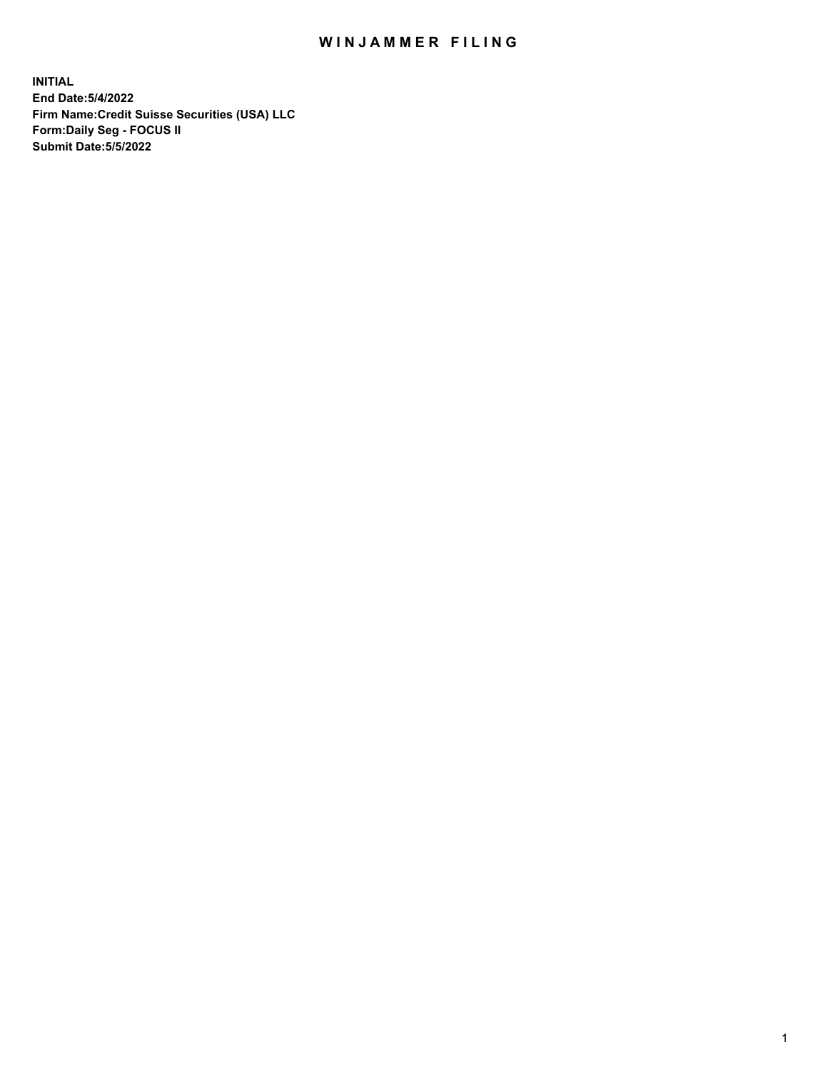# WIN JAMMER FILING

**INITIAL End Date:5/4/2022 Firm Name:Credit Suisse Securities (USA) LLC Form:Daily Seg - FOCUS II Submit Date:5/5/2022**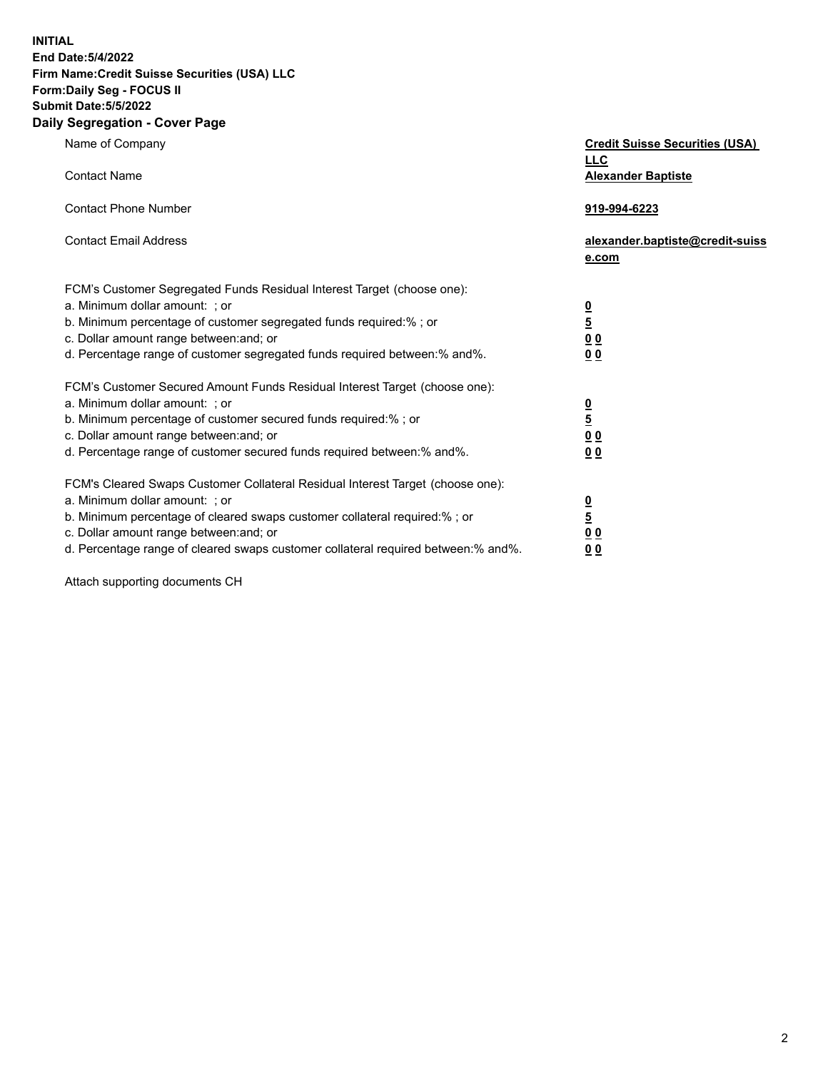**INITIAL**

#### **End Date:5/4/2022 Firm Name:Credit Suisse Securities (USA) LLC Form:Daily Seg - FOCUS II**

# **Submit Date:5/5/2022**

#### **Daily Segregation - Cover Page**

| Name of Company                                                                   | <b>Credit Suisse Securities (USA)</b><br><b>LLC</b> |
|-----------------------------------------------------------------------------------|-----------------------------------------------------|
| <b>Contact Name</b>                                                               | <b>Alexander Baptiste</b>                           |
| <b>Contact Phone Number</b>                                                       | 919-994-6223                                        |
| <b>Contact Email Address</b>                                                      | alexander.baptiste@credit-suiss<br>e.com            |
| FCM's Customer Segregated Funds Residual Interest Target (choose one):            |                                                     |
| a. Minimum dollar amount: ; or                                                    |                                                     |
| b. Minimum percentage of customer segregated funds required:% ; or                | $\frac{0}{\frac{5}{0}}$                             |
| c. Dollar amount range between: and; or                                           |                                                     |
| d. Percentage range of customer segregated funds required between:% and%.         | 0 <sub>0</sub>                                      |
| FCM's Customer Secured Amount Funds Residual Interest Target (choose one):        |                                                     |
| a. Minimum dollar amount: ; or                                                    | $\frac{0}{\frac{5}{0}}$                             |
| b. Minimum percentage of customer secured funds required:% ; or                   |                                                     |
| c. Dollar amount range between: and; or                                           |                                                     |
| d. Percentage range of customer secured funds required between:% and%.            | 0 <sub>0</sub>                                      |
| FCM's Cleared Swaps Customer Collateral Residual Interest Target (choose one):    |                                                     |
| a. Minimum dollar amount: ; or                                                    | $\frac{0}{5}$                                       |
| b. Minimum percentage of cleared swaps customer collateral required:% ; or        |                                                     |
| c. Dollar amount range between: and; or                                           | 0 <sub>0</sub>                                      |
| d. Percentage range of cleared swaps customer collateral required between:% and%. | 0 <sub>0</sub>                                      |

Attach supporting documents CH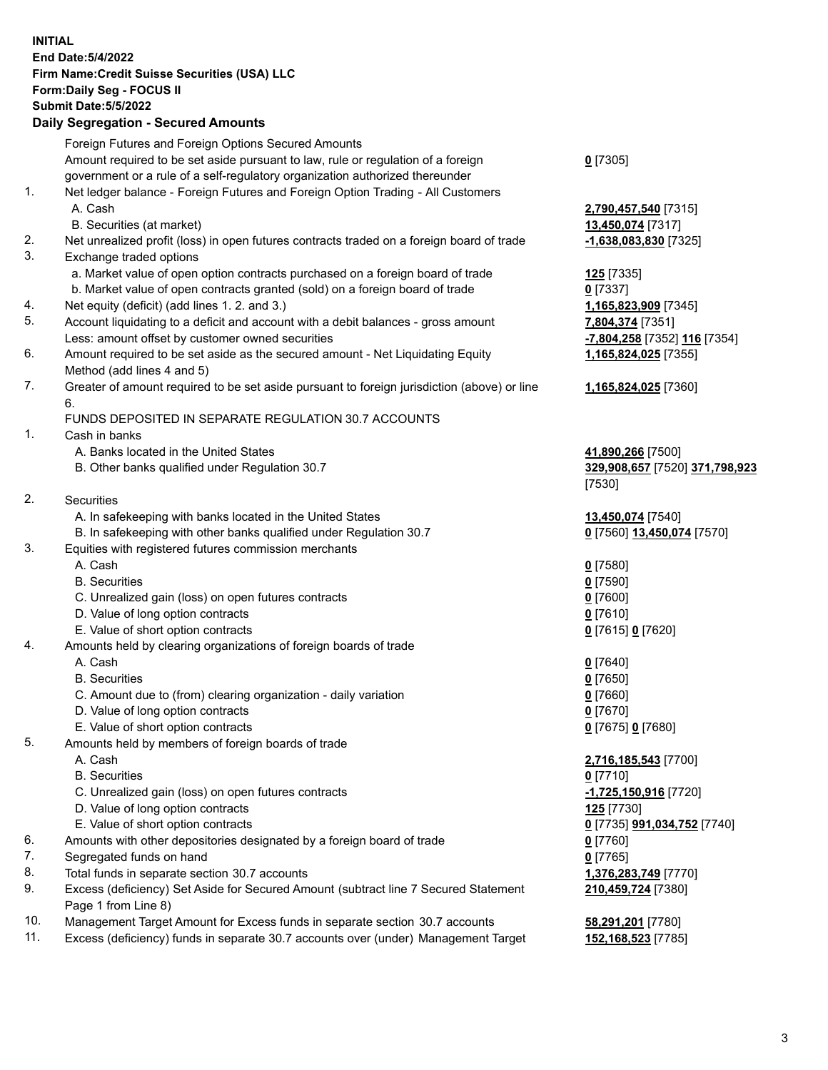### **INITIAL End Date:5/4/2022 Firm Name:Credit Suisse Securities (USA) LLC Form:Daily Seg - FOCUS II Submit Date:5/5/2022**

### **Daily Segregation - Secured Amounts**

|     | Foreign Futures and Foreign Options Secured Amounts                                         |                                |
|-----|---------------------------------------------------------------------------------------------|--------------------------------|
|     | Amount required to be set aside pursuant to law, rule or regulation of a foreign            | $0$ [7305]                     |
|     | government or a rule of a self-regulatory organization authorized thereunder                |                                |
| 1.  | Net ledger balance - Foreign Futures and Foreign Option Trading - All Customers             |                                |
|     | A. Cash                                                                                     | 2,790,457,540 [7315]           |
|     | B. Securities (at market)                                                                   | 13,450,074 [7317]              |
| 2.  | Net unrealized profit (loss) in open futures contracts traded on a foreign board of trade   | -1,638,083,830 [7325]          |
| 3.  | Exchange traded options                                                                     |                                |
|     | a. Market value of open option contracts purchased on a foreign board of trade              | <b>125</b> [7335]              |
|     | b. Market value of open contracts granted (sold) on a foreign board of trade                | $0$ [7337]                     |
| 4.  | Net equity (deficit) (add lines 1. 2. and 3.)                                               | 1,165,823,909 [7345]           |
| 5.  | Account liquidating to a deficit and account with a debit balances - gross amount           | 7,804,374 [7351]               |
|     | Less: amount offset by customer owned securities                                            | -7,804,258 [7352] 116 [7354]   |
| 6.  | Amount required to be set aside as the secured amount - Net Liquidating Equity              | 1,165,824,025 [7355]           |
|     | Method (add lines 4 and 5)                                                                  |                                |
| 7.  | Greater of amount required to be set aside pursuant to foreign jurisdiction (above) or line | 1,165,824,025 [7360]           |
|     | 6.                                                                                          |                                |
|     | FUNDS DEPOSITED IN SEPARATE REGULATION 30.7 ACCOUNTS                                        |                                |
| 1.  | Cash in banks                                                                               |                                |
|     | A. Banks located in the United States                                                       | 41,890,266 [7500]              |
|     | B. Other banks qualified under Regulation 30.7                                              | 329,908,657 [7520] 371,798,923 |
|     |                                                                                             | [7530]                         |
| 2.  | Securities                                                                                  |                                |
|     | A. In safekeeping with banks located in the United States                                   | 13,450,074 [7540]              |
|     | B. In safekeeping with other banks qualified under Regulation 30.7                          | 0 [7560] 13,450,074 [7570]     |
| 3.  | Equities with registered futures commission merchants                                       |                                |
|     | A. Cash                                                                                     | $0$ [7580]                     |
|     | <b>B.</b> Securities                                                                        | $0$ [7590]                     |
|     | C. Unrealized gain (loss) on open futures contracts                                         | $0$ [7600]                     |
|     | D. Value of long option contracts                                                           | $0$ [7610]                     |
|     | E. Value of short option contracts                                                          | 0 [7615] 0 [7620]              |
| 4.  | Amounts held by clearing organizations of foreign boards of trade                           |                                |
|     | A. Cash                                                                                     | $0$ [7640]                     |
|     | <b>B.</b> Securities                                                                        | $0$ [7650]                     |
|     | C. Amount due to (from) clearing organization - daily variation                             | $0$ [7660]                     |
|     | D. Value of long option contracts                                                           | $0$ [7670]                     |
|     | E. Value of short option contracts                                                          | 0 [7675] 0 [7680]              |
| 5.  | Amounts held by members of foreign boards of trade                                          |                                |
|     | A. Cash                                                                                     | 2,716,185,543 [7700]           |
|     | <b>B.</b> Securities                                                                        | $0$ [7710]                     |
|     | C. Unrealized gain (loss) on open futures contracts                                         | -1,725,150,916 [7720]          |
|     | D. Value of long option contracts                                                           | 125 <sub>[7730]</sub>          |
|     | E. Value of short option contracts                                                          | 0 [7735] 991,034,752 [7740]    |
| 6.  | Amounts with other depositories designated by a foreign board of trade                      | $0$ [7760]                     |
| 7.  | Segregated funds on hand                                                                    | $0$ [7765]                     |
| 8.  | Total funds in separate section 30.7 accounts                                               | 1,376,283,749 [7770]           |
| 9.  | Excess (deficiency) Set Aside for Secured Amount (subtract line 7 Secured Statement         | 210,459,724 [7380]             |
|     | Page 1 from Line 8)                                                                         |                                |
| 10. | Management Target Amount for Excess funds in separate section 30.7 accounts                 | 58,291,201 [7780]              |

11. Excess (deficiency) funds in separate 30.7 accounts over (under) Management Target **152,168,523** [7785]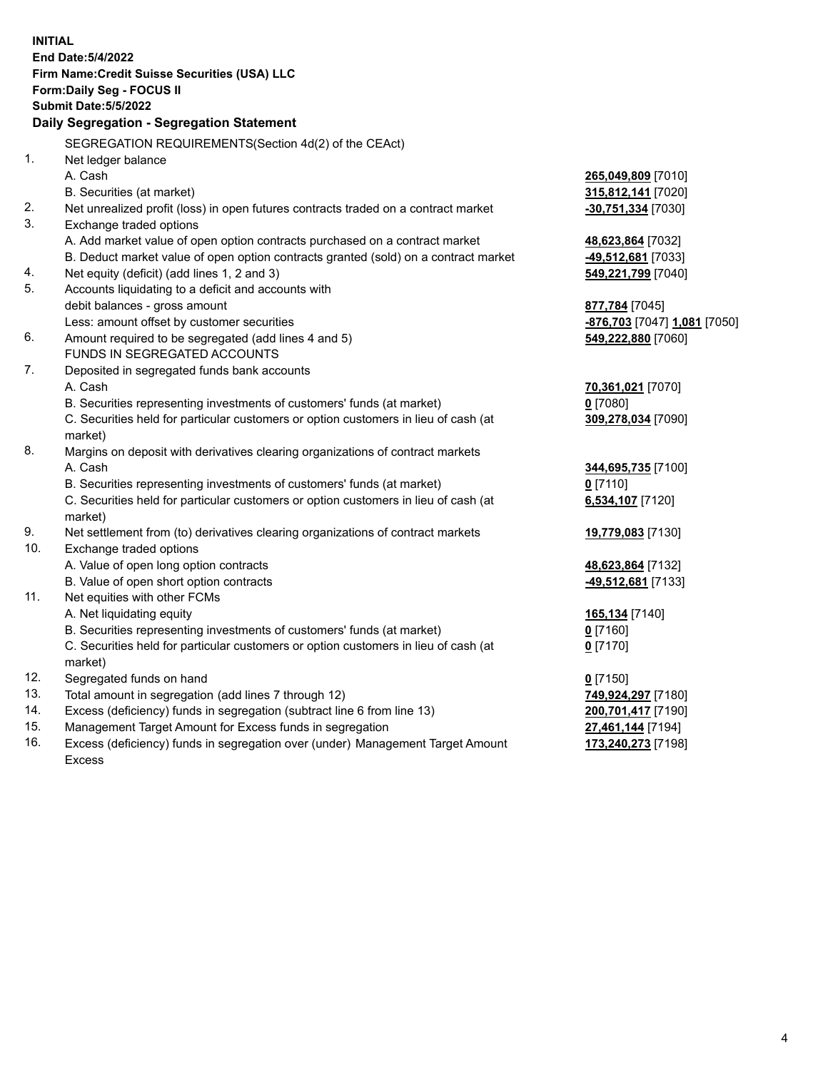|     | <b>INITIAL</b>                                                                      |                              |
|-----|-------------------------------------------------------------------------------------|------------------------------|
|     | <b>End Date: 5/4/2022</b>                                                           |                              |
|     | Firm Name: Credit Suisse Securities (USA) LLC                                       |                              |
|     | Form: Daily Seg - FOCUS II                                                          |                              |
|     | <b>Submit Date: 5/5/2022</b>                                                        |                              |
|     | Daily Segregation - Segregation Statement                                           |                              |
|     | SEGREGATION REQUIREMENTS(Section 4d(2) of the CEAct)                                |                              |
| 1.  | Net ledger balance                                                                  |                              |
|     | A. Cash                                                                             | 265,049,809 [7010]           |
|     | B. Securities (at market)                                                           | 315,812,141 [7020]           |
| 2.  | Net unrealized profit (loss) in open futures contracts traded on a contract market  | -30,751,334 [7030]           |
| 3.  | Exchange traded options                                                             |                              |
|     | A. Add market value of open option contracts purchased on a contract market         | 48,623,864 [7032]            |
|     | B. Deduct market value of open option contracts granted (sold) on a contract market | -49,512,681 [7033]           |
| 4.  | Net equity (deficit) (add lines 1, 2 and 3)                                         | 549,221,799 [7040]           |
| 5.  | Accounts liquidating to a deficit and accounts with                                 |                              |
|     | debit balances - gross amount                                                       | 877,784 [7045]               |
|     | Less: amount offset by customer securities                                          | -876,703 [7047] 1,081 [7050] |
| 6.  | Amount required to be segregated (add lines 4 and 5)                                | 549,222,880 [7060]           |
|     | <b>FUNDS IN SEGREGATED ACCOUNTS</b>                                                 |                              |
| 7.  | Deposited in segregated funds bank accounts                                         |                              |
|     | A. Cash                                                                             | 70,361,021 [7070]            |
|     | B. Securities representing investments of customers' funds (at market)              | $0$ [7080]                   |
|     | C. Securities held for particular customers or option customers in lieu of cash (at | 309,278,034 [7090]           |
|     | market)                                                                             |                              |
| 8.  | Margins on deposit with derivatives clearing organizations of contract markets      |                              |
|     | A. Cash                                                                             | 344,695,735 [7100]           |
|     | B. Securities representing investments of customers' funds (at market)              | $0$ [7110]                   |
|     | C. Securities held for particular customers or option customers in lieu of cash (at | 6,534,107 [7120]             |
|     | market)                                                                             |                              |
| 9.  | Net settlement from (to) derivatives clearing organizations of contract markets     | 19,779,083 [7130]            |
| 10. | Exchange traded options                                                             |                              |
|     | A. Value of open long option contracts                                              | 48,623,864 [7132]            |
|     | B. Value of open short option contracts                                             | -49,512,681 [7133]           |
| 11. | Net equities with other FCMs                                                        |                              |
|     | A. Net liquidating equity                                                           | 165,134 [7140]               |
|     | B. Securities representing investments of customers' funds (at market)              | 0 [7160]                     |
|     | C. Securities held for particular customers or option customers in lieu of cash (at | $0$ [7170]                   |
|     | market)                                                                             |                              |
| 12. | Segregated funds on hand                                                            | $0$ [7150]                   |
| 13. | Total amount in segregation (add lines 7 through 12)                                | 749,924,297 [7180]           |
| 14. | Excess (deficiency) funds in segregation (subtract line 6 from line 13)             | 200,701,417 [7190]           |
| 15. | Management Target Amount for Excess funds in segregation                            | 27,461,144 [7194]            |
| 16. | Excess (deficiency) funds in segregation over (under) Management Target Amount      | 173,240,273 [7198]           |
|     | Excess                                                                              |                              |